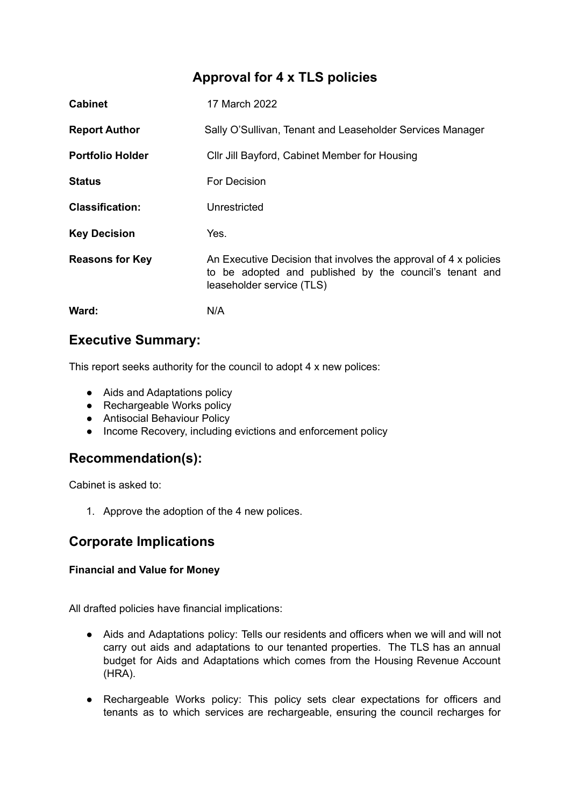## **Approval for 4 x TLS policies**

| <b>Cabinet</b>          | 17 March 2022                                                                                                                                            |
|-------------------------|----------------------------------------------------------------------------------------------------------------------------------------------------------|
| <b>Report Author</b>    | Sally O'Sullivan, Tenant and Leaseholder Services Manager                                                                                                |
| <b>Portfolio Holder</b> | CIIr Jill Bayford, Cabinet Member for Housing                                                                                                            |
| <b>Status</b>           | For Decision                                                                                                                                             |
| <b>Classification:</b>  | Unrestricted                                                                                                                                             |
| <b>Key Decision</b>     | Yes.                                                                                                                                                     |
| <b>Reasons for Key</b>  | An Executive Decision that involves the approval of 4 x policies<br>to be adopted and published by the council's tenant and<br>leaseholder service (TLS) |
| Ward:                   | N/A                                                                                                                                                      |

### **Executive Summary:**

This report seeks authority for the council to adopt 4 x new polices:

- Aids and Adaptations policy
- Rechargeable Works policy
- Antisocial Behaviour Policy
- Income Recovery, including evictions and enforcement policy

### **Recommendation(s):**

Cabinet is asked to:

1. Approve the adoption of the 4 new polices.

## **Corporate Implications**

### **Financial and Value for Money**

All drafted policies have financial implications:

- Aids and Adaptations policy: Tells our residents and officers when we will and will not carry out aids and adaptations to our tenanted properties. The TLS has an annual budget for Aids and Adaptations which comes from the Housing Revenue Account (HRA).
- Rechargeable Works policy: This policy sets clear expectations for officers and tenants as to which services are rechargeable, ensuring the council recharges for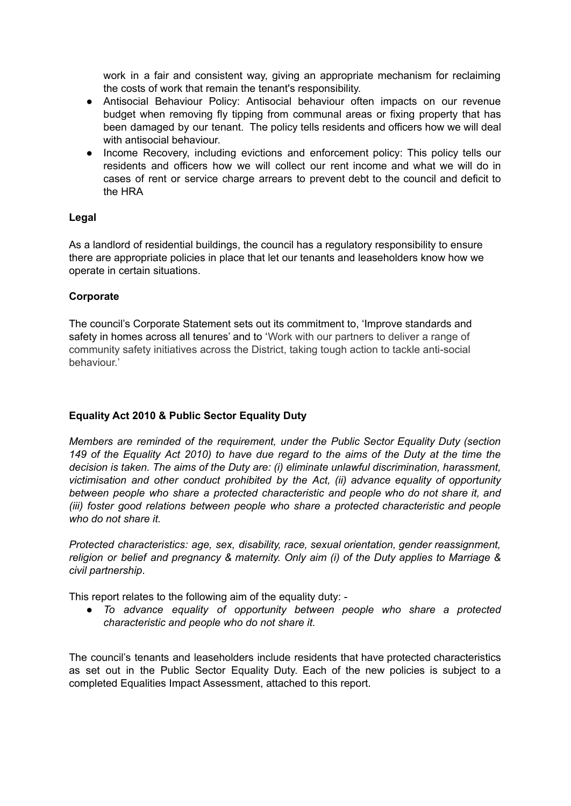work in a fair and consistent way, giving an appropriate mechanism for reclaiming the costs of work that remain the tenant's responsibility.

- Antisocial Behaviour Policy: Antisocial behaviour often impacts on our revenue budget when removing fly tipping from communal areas or fixing property that has been damaged by our tenant. The policy tells residents and officers how we will deal with antisocial behaviour.
- Income Recovery, including evictions and enforcement policy: This policy tells our residents and officers how we will collect our rent income and what we will do in cases of rent or service charge arrears to prevent debt to the council and deficit to the HRA

#### **Legal**

As a landlord of residential buildings, the council has a regulatory responsibility to ensure there are appropriate policies in place that let our tenants and leaseholders know how we operate in certain situations.

#### **Corporate**

The council's Corporate Statement sets out its commitment to, 'Improve standards and safety in homes across all tenures' and to 'Work with our partners to deliver a range of community safety initiatives across the District, taking tough action to tackle anti-social behaviour.'

#### **Equality Act 2010 & Public Sector Equality Duty**

*Members are reminded of the requirement, under the Public Sector Equality Duty (section* 149 of the Equality Act 2010) to have due regard to the aims of the Duty at the time the *decision is taken. The aims of the Duty are: (i) eliminate unlawful discrimination, harassment, victimisation and other conduct prohibited by the Act, (ii) advance equality of opportunity between people who share a protected characteristic and people who do not share it, and (iii) foster good relations between people who share a protected characteristic and people who do not share it.*

*Protected characteristics: age, sex, disability, race, sexual orientation, gender reassignment, religion or belief and pregnancy & maternity. Only aim (i) of the Duty applies to Marriage & civil partnership*.

This report relates to the following aim of the equality duty: -

*● To advance equality of opportunity between people who share a protected characteristic and people who do not share it.*

The council's tenants and leaseholders include residents that have protected characteristics as set out in the Public Sector Equality Duty. Each of the new policies is subject to a completed Equalities Impact Assessment, attached to this report.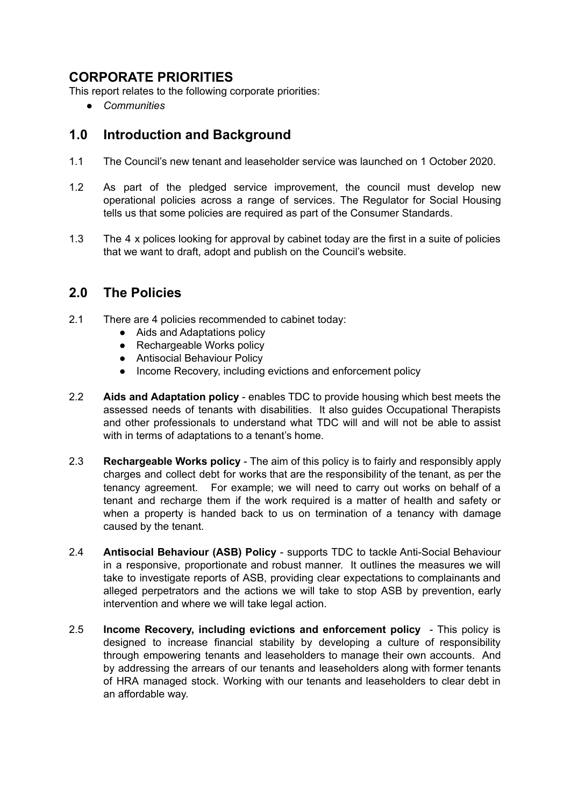## **CORPORATE PRIORITIES**

This report relates to the following corporate priorities:

*● Communities*

### **1.0 Introduction and Background**

- 1.1 The Council's new tenant and leaseholder service was launched on 1 October 2020.
- 1.2 As part of the pledged service improvement, the council must develop new operational policies across a range of services. The Regulator for Social Housing tells us that some policies are required as part of the Consumer Standards.
- 1.3 The 4 x polices looking for approval by cabinet today are the first in a suite of policies that we want to draft, adopt and publish on the Council's website.

### **2.0 The Policies**

- 2.1 There are 4 policies recommended to cabinet today:
	- Aids and Adaptations policy
	- Rechargeable Works policy
	- Antisocial Behaviour Policy
	- Income Recovery, including evictions and enforcement policy
- 2.2 **Aids and Adaptation policy** enables TDC to provide housing which best meets the assessed needs of tenants with disabilities. It also guides Occupational Therapists and other professionals to understand what TDC will and will not be able to assist with in terms of adaptations to a tenant's home.
- 2.3 **Rechargeable Works policy** The aim of this policy is to fairly and responsibly apply charges and collect debt for works that are the responsibility of the tenant, as per the tenancy agreement. For example; we will need to carry out works on behalf of a tenant and recharge them if the work required is a matter of health and safety or when a property is handed back to us on termination of a tenancy with damage caused by the tenant.
- 2.4 **Antisocial Behaviour (ASB) Policy** supports TDC to tackle Anti-Social Behaviour in a responsive, proportionate and robust manner. It outlines the measures we will take to investigate reports of ASB, providing clear expectations to complainants and alleged perpetrators and the actions we will take to stop ASB by prevention, early intervention and where we will take legal action.
- 2.5 **Income Recovery, including evictions and enforcement policy** This policy is designed to increase financial stability by developing a culture of responsibility through empowering tenants and leaseholders to manage their own accounts. And by addressing the arrears of our tenants and leaseholders along with former tenants of HRA managed stock. Working with our tenants and leaseholders to clear debt in an affordable way.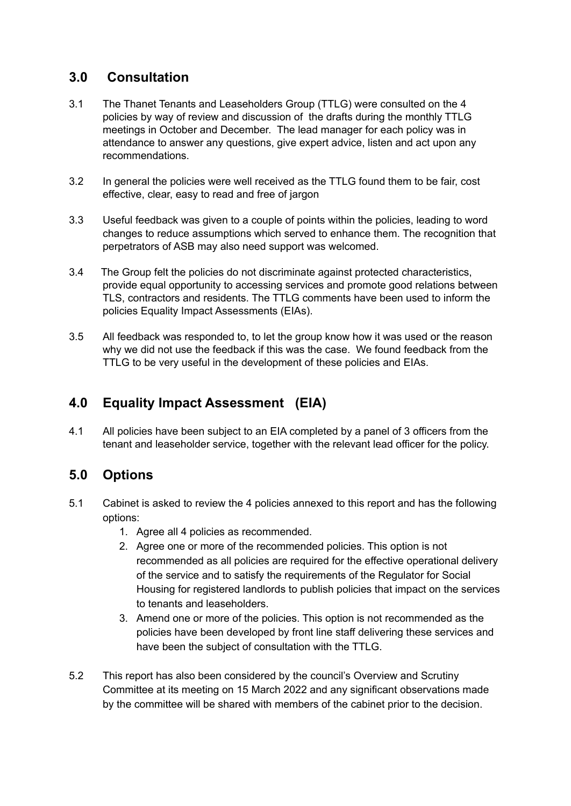## **3.0 Consultation**

- 3.1 The Thanet Tenants and Leaseholders Group (TTLG) were consulted on the 4 policies by way of review and discussion of the drafts during the monthly TTLG meetings in October and December. The lead manager for each policy was in attendance to answer any questions, give expert advice, listen and act upon any recommendations.
- 3.2 In general the policies were well received as the TTLG found them to be fair, cost effective, clear, easy to read and free of jargon
- 3.3 Useful feedback was given to a couple of points within the policies, leading to word changes to reduce assumptions which served to enhance them. The recognition that perpetrators of ASB may also need support was welcomed.
- 3.4 The Group felt the policies do not discriminate against protected characteristics, provide equal opportunity to accessing services and promote good relations between TLS, contractors and residents. The TTLG comments have been used to inform the policies Equality Impact Assessments (EIAs).
- 3.5 All feedback was responded to, to let the group know how it was used or the reason why we did not use the feedback if this was the case. We found feedback from the TTLG to be very useful in the development of these policies and EIAs.

# **4.0 Equality Impact Assessment (EIA)**

4.1 All policies have been subject to an EIA completed by a panel of 3 officers from the tenant and leaseholder service, together with the relevant lead officer for the policy.

# **5.0 Options**

- 5.1 Cabinet is asked to review the 4 policies annexed to this report and has the following options:
	- 1. Agree all 4 policies as recommended.
	- 2. Agree one or more of the recommended policies. This option is not recommended as all policies are required for the effective operational delivery of the service and to satisfy the requirements of the Regulator for Social Housing for registered landlords to publish policies that impact on the services to tenants and leaseholders.
	- 3. Amend one or more of the policies. This option is not recommended as the policies have been developed by front line staff delivering these services and have been the subject of consultation with the TTLG.
- 5.2 This report has also been considered by the council's Overview and Scrutiny Committee at its meeting on 15 March 2022 and any significant observations made by the committee will be shared with members of the cabinet prior to the decision.